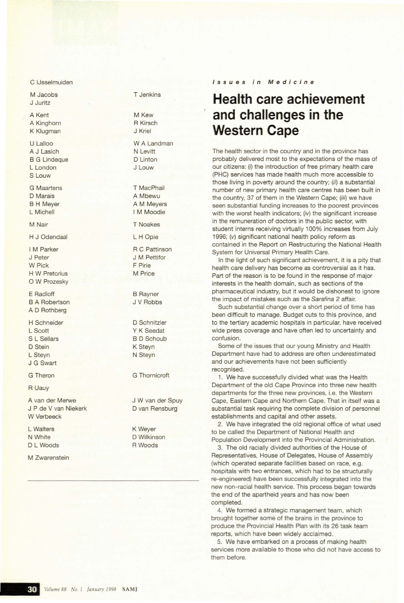**Issues in Medicine**

## **Health care achievement and challenges in the Western Cape**

The health sector in the country and in the province has probably delivered most to the expectations of the mass of our citizens: (i) the introduction of free primary health care (PHC) services has made health much more accessible to those living in poverty around the country; (ii) a substantial number of new primary health care centres has been built in the country, 37 of them in the Western Cape; (iii) we have seen substantial funding increases to the poorest provinces with the worst health indicators;  $(iv)$  the significant increase in the remuneration of doctors in the public sector, with student interns receiving virtually 100% increases from July 1996; (v) significant national health policy reform as contained in the Report on Restructuring the National Health System for Universal Primary Health Care.

In the light of such significant achievement, it is a pity that health care delivery has become as controversial as it has. Part of the reason is to be found in the response of major interests in the health domain, such as sections of the pharmaceutical industry, but it would be dishonest to ignore the impact of mistakes such as the Sarafina 2 affair.

Such substantial change over a short period of time has been difficult to manage. Budget cuts to this province, and to the tertiary academic hospitals in particular, have received wide press coverage and have often led to uncertainty and confusion.

Some of the issues that our young Ministry and Health Department have had to address are often underestimated and our achievements have not been sufficiently recognised.

1. We have successfully divided what was the Health Department of the old Cape Province into three new health departments for the three new provinces, i.e. the Western Cape, Eastern Cape and Northern Cape. That in itself was a substantial task requiring the complete division of personnel establishments and capital and other assets.

2. We have integrated the old regional office of what used to be called the Department of National Health and Population Development into the Provincial Administration.

3. The old racially divided authorities of the House of Representatives, House of Delegates, House of Assembly (which operated separate facilities based on race, e.g. hospitals with two entrances, which had to be structurally re-engineered) have been successfully integrated into the new non-racial health service. This process began towards the end of the apartheid years and has now been completed.

4. We formed a strategic management team, which brought together some of the brains in the province to produce the Provincial Health Plan with its 26 task team reports, which have been widely acclaimed.

5. We have embarked on a process of making health services more available to those who did not have access to them before.